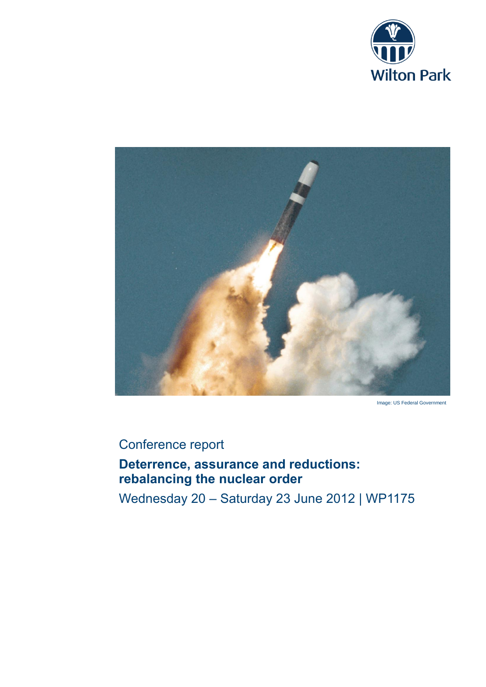



Image: US Federal Government

# Conference report

# **Deterrence, assurance and reductions: rebalancing the nuclear order**

Wednesday 20 – Saturday 23 June 2012 | WP1175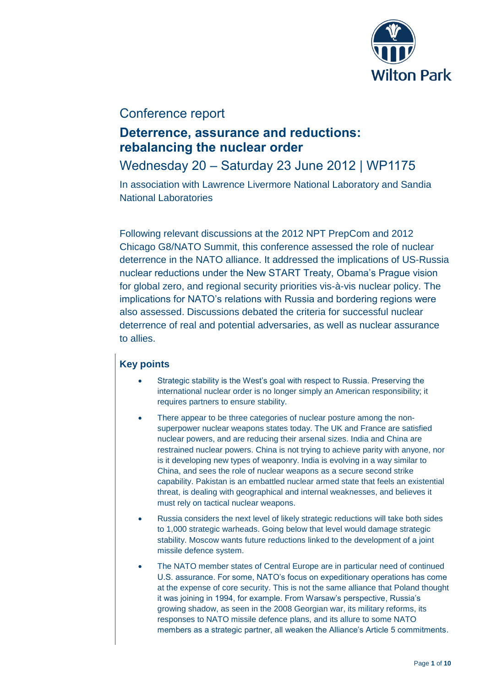

## Conference report

## **Deterrence, assurance and reductions: rebalancing the nuclear order**

## Wednesday 20 – Saturday 23 June 2012 | WP1175

In association with Lawrence Livermore National Laboratory and Sandia National Laboratories

Following relevant discussions at the 2012 NPT PrepCom and 2012 Chicago G8/NATO Summit, this conference assessed the role of nuclear deterrence in the NATO alliance. It addressed the implications of US-Russia nuclear reductions under the New START Treaty, Obama's Prague vision for global zero, and regional security priorities vis-à-vis nuclear policy. The implications for NATO's relations with Russia and bordering regions were also assessed. Discussions debated the criteria for successful nuclear deterrence of real and potential adversaries, as well as nuclear assurance to allies.

## **Key points**

- Strategic stability is the West's goal with respect to Russia. Preserving the international nuclear order is no longer simply an American responsibility; it requires partners to ensure stability.
- There appear to be three categories of nuclear posture among the nonsuperpower nuclear weapons states today. The UK and France are satisfied nuclear powers, and are reducing their arsenal sizes. India and China are restrained nuclear powers. China is not trying to achieve parity with anyone, nor is it developing new types of weaponry. India is evolving in a way similar to China, and sees the role of nuclear weapons as a secure second strike capability. Pakistan is an embattled nuclear armed state that feels an existential threat, is dealing with geographical and internal weaknesses, and believes it must rely on tactical nuclear weapons.
- Russia considers the next level of likely strategic reductions will take both sides to 1,000 strategic warheads. Going below that level would damage strategic stability. Moscow wants future reductions linked to the development of a joint missile defence system.
- The NATO member states of Central Europe are in particular need of continued U.S. assurance. For some, NATO's focus on expeditionary operations has come at the expense of core security. This is not the same alliance that Poland thought it was joining in 1994, for example. From Warsaw's perspective, Russia's growing shadow, as seen in the 2008 Georgian war, its military reforms, its responses to NATO missile defence plans, and its allure to some NATO members as a strategic partner, all weaken the Alliance's Article 5 commitments.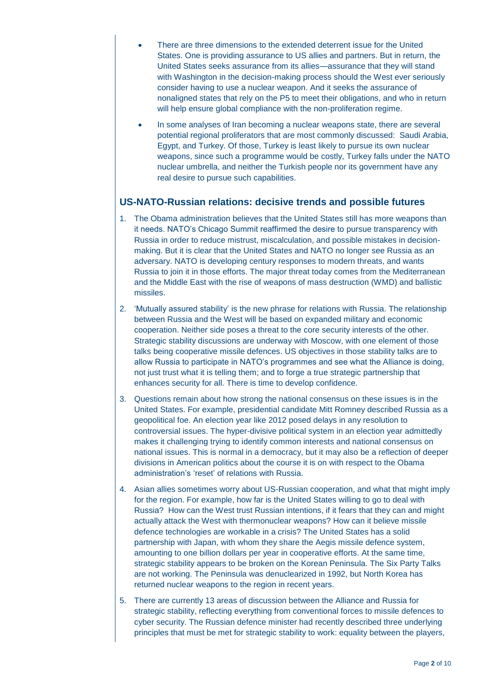- There are three dimensions to the extended deterrent issue for the United States. One is providing assurance to US allies and partners. But in return, the United States seeks assurance from its allies—assurance that they will stand with Washington in the decision-making process should the West ever seriously consider having to use a nuclear weapon. And it seeks the assurance of nonaligned states that rely on the P5 to meet their obligations, and who in return will help ensure global compliance with the non-proliferation regime.
- In some analyses of Iran becoming a nuclear weapons state, there are several potential regional proliferators that are most commonly discussed: Saudi Arabia, Egypt, and Turkey. Of those, Turkey is least likely to pursue its own nuclear weapons, since such a programme would be costly, Turkey falls under the NATO nuclear umbrella, and neither the Turkish people nor its government have any real desire to pursue such capabilities.

## **US-NATO-Russian relations: decisive trends and possible futures**

- 1. The Obama administration believes that the United States still has more weapons than it needs. NATO's Chicago Summit reaffirmed the desire to pursue transparency with Russia in order to reduce mistrust, miscalculation, and possible mistakes in decisionmaking. But it is clear that the United States and NATO no longer see Russia as an adversary. NATO is developing century responses to modern threats, and wants Russia to join it in those efforts. The major threat today comes from the Mediterranean and the Middle East with the rise of weapons of mass destruction (WMD) and ballistic missiles.
- 2. 'Mutually assured stability' is the new phrase for relations with Russia. The relationship between Russia and the West will be based on expanded military and economic cooperation. Neither side poses a threat to the core security interests of the other. Strategic stability discussions are underway with Moscow, with one element of those talks being cooperative missile defences. US objectives in those stability talks are to allow Russia to participate in NATO's programmes and see what the Alliance is doing, not just trust what it is telling them; and to forge a true strategic partnership that enhances security for all. There is time to develop confidence.
- 3. Questions remain about how strong the national consensus on these issues is in the United States. For example, presidential candidate Mitt Romney described Russia as a geopolitical foe. An election year like 2012 posed delays in any resolution to controversial issues. The hyper-divisive political system in an election year admittedly makes it challenging trying to identify common interests and national consensus on national issues. This is normal in a democracy, but it may also be a reflection of deeper divisions in American politics about the course it is on with respect to the Obama administration's 'reset' of relations with Russia.
- 4. Asian allies sometimes worry about US-Russian cooperation, and what that might imply for the region. For example, how far is the United States willing to go to deal with Russia? How can the West trust Russian intentions, if it fears that they can and might actually attack the West with thermonuclear weapons? How can it believe missile defence technologies are workable in a crisis? The United States has a solid partnership with Japan, with whom they share the Aegis missile defence system, amounting to one billion dollars per year in cooperative efforts. At the same time, strategic stability appears to be broken on the Korean Peninsula. The Six Party Talks are not working. The Peninsula was denuclearized in 1992, but North Korea has returned nuclear weapons to the region in recent years.
- 5. There are currently 13 areas of discussion between the Alliance and Russia for strategic stability, reflecting everything from conventional forces to missile defences to cyber security. The Russian defence minister had recently described three underlying principles that must be met for strategic stability to work: equality between the players,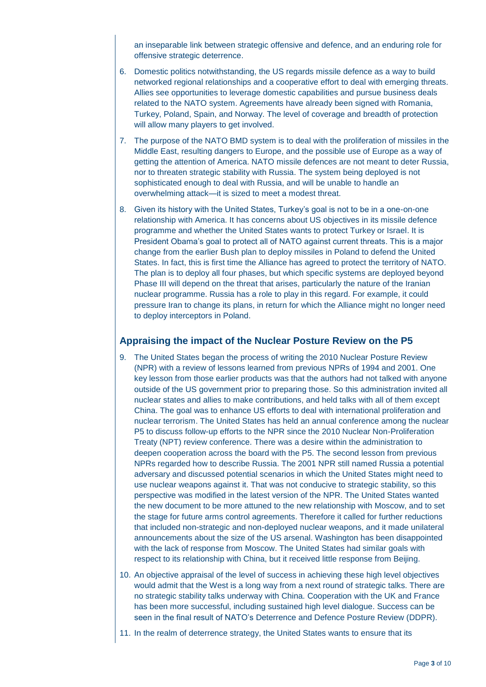an inseparable link between strategic offensive and defence, and an enduring role for offensive strategic deterrence.

- 6. Domestic politics notwithstanding, the US regards missile defence as a way to build networked regional relationships and a cooperative effort to deal with emerging threats. Allies see opportunities to leverage domestic capabilities and pursue business deals related to the NATO system. Agreements have already been signed with Romania, Turkey, Poland, Spain, and Norway. The level of coverage and breadth of protection will allow many players to get involved.
- 7. The purpose of the NATO BMD system is to deal with the proliferation of missiles in the Middle East, resulting dangers to Europe, and the possible use of Europe as a way of getting the attention of America. NATO missile defences are not meant to deter Russia, nor to threaten strategic stability with Russia. The system being deployed is not sophisticated enough to deal with Russia, and will be unable to handle an overwhelming attack—it is sized to meet a modest threat.
- 8. Given its history with the United States, Turkey's goal is not to be in a one-on-one relationship with America. It has concerns about US objectives in its missile defence programme and whether the United States wants to protect Turkey or Israel. It is President Obama's goal to protect all of NATO against current threats. This is a major change from the earlier Bush plan to deploy missiles in Poland to defend the United States. In fact, this is first time the Alliance has agreed to protect the territory of NATO. The plan is to deploy all four phases, but which specific systems are deployed beyond Phase III will depend on the threat that arises, particularly the nature of the Iranian nuclear programme. Russia has a role to play in this regard. For example, it could pressure Iran to change its plans, in return for which the Alliance might no longer need to deploy interceptors in Poland.

### **Appraising the impact of the Nuclear Posture Review on the P5**

- 9. The United States began the process of writing the 2010 Nuclear Posture Review (NPR) with a review of lessons learned from previous NPRs of 1994 and 2001. One key lesson from those earlier products was that the authors had not talked with anyone outside of the US government prior to preparing those. So this administration invited all nuclear states and allies to make contributions, and held talks with all of them except China. The goal was to enhance US efforts to deal with international proliferation and nuclear terrorism. The United States has held an annual conference among the nuclear P5 to discuss follow-up efforts to the NPR since the 2010 Nuclear Non-Proliferation Treaty (NPT) review conference. There was a desire within the administration to deepen cooperation across the board with the P5. The second lesson from previous NPRs regarded how to describe Russia. The 2001 NPR still named Russia a potential adversary and discussed potential scenarios in which the United States might need to use nuclear weapons against it. That was not conducive to strategic stability, so this perspective was modified in the latest version of the NPR. The United States wanted the new document to be more attuned to the new relationship with Moscow, and to set the stage for future arms control agreements. Therefore it called for further reductions that included non-strategic and non-deployed nuclear weapons, and it made unilateral announcements about the size of the US arsenal. Washington has been disappointed with the lack of response from Moscow. The United States had similar goals with respect to its relationship with China, but it received little response from Beijing.
- 10. An objective appraisal of the level of success in achieving these high level objectives would admit that the West is a long way from a next round of strategic talks. There are no strategic stability talks underway with China. Cooperation with the UK and France has been more successful, including sustained high level dialogue. Success can be seen in the final result of NATO's Deterrence and Defence Posture Review (DDPR).
- 11. In the realm of deterrence strategy, the United States wants to ensure that its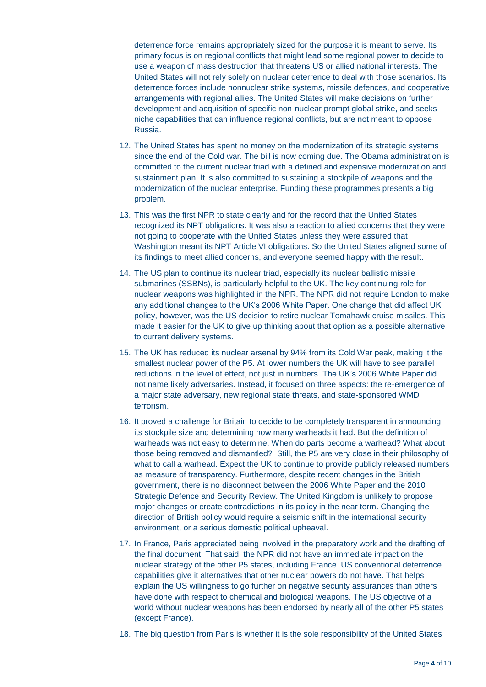deterrence force remains appropriately sized for the purpose it is meant to serve. Its primary focus is on regional conflicts that might lead some regional power to decide to use a weapon of mass destruction that threatens US or allied national interests. The United States will not rely solely on nuclear deterrence to deal with those scenarios. Its deterrence forces include nonnuclear strike systems, missile defences, and cooperative arrangements with regional allies. The United States will make decisions on further development and acquisition of specific non-nuclear prompt global strike, and seeks niche capabilities that can influence regional conflicts, but are not meant to oppose Russia.

- 12. The United States has spent no money on the modernization of its strategic systems since the end of the Cold war. The bill is now coming due. The Obama administration is committed to the current nuclear triad with a defined and expensive modernization and sustainment plan. It is also committed to sustaining a stockpile of weapons and the modernization of the nuclear enterprise. Funding these programmes presents a big problem.
- 13. This was the first NPR to state clearly and for the record that the United States recognized its NPT obligations. It was also a reaction to allied concerns that they were not going to cooperate with the United States unless they were assured that Washington meant its NPT Article VI obligations. So the United States aligned some of its findings to meet allied concerns, and everyone seemed happy with the result.
- 14. The US plan to continue its nuclear triad, especially its nuclear ballistic missile submarines (SSBNs), is particularly helpful to the UK. The key continuing role for nuclear weapons was highlighted in the NPR. The NPR did not require London to make any additional changes to the UK's 2006 White Paper. One change that did affect UK policy, however, was the US decision to retire nuclear Tomahawk cruise missiles. This made it easier for the UK to give up thinking about that option as a possible alternative to current delivery systems.
- 15. The UK has reduced its nuclear arsenal by 94% from its Cold War peak, making it the smallest nuclear power of the P5. At lower numbers the UK will have to see parallel reductions in the level of effect, not just in numbers. The UK's 2006 White Paper did not name likely adversaries. Instead, it focused on three aspects: the re-emergence of a major state adversary, new regional state threats, and state-sponsored WMD terrorism.
- 16. It proved a challenge for Britain to decide to be completely transparent in announcing its stockpile size and determining how many warheads it had. But the definition of warheads was not easy to determine. When do parts become a warhead? What about those being removed and dismantled? Still, the P5 are very close in their philosophy of what to call a warhead. Expect the UK to continue to provide publicly released numbers as measure of transparency. Furthermore, despite recent changes in the British government, there is no disconnect between the 2006 White Paper and the 2010 Strategic Defence and Security Review. The United Kingdom is unlikely to propose major changes or create contradictions in its policy in the near term. Changing the direction of British policy would require a seismic shift in the international security environment, or a serious domestic political upheaval.
- 17. In France, Paris appreciated being involved in the preparatory work and the drafting of the final document. That said, the NPR did not have an immediate impact on the nuclear strategy of the other P5 states, including France. US conventional deterrence capabilities give it alternatives that other nuclear powers do not have. That helps explain the US willingness to go further on negative security assurances than others have done with respect to chemical and biological weapons. The US objective of a world without nuclear weapons has been endorsed by nearly all of the other P5 states (except France).
- 18. The big question from Paris is whether it is the sole responsibility of the United States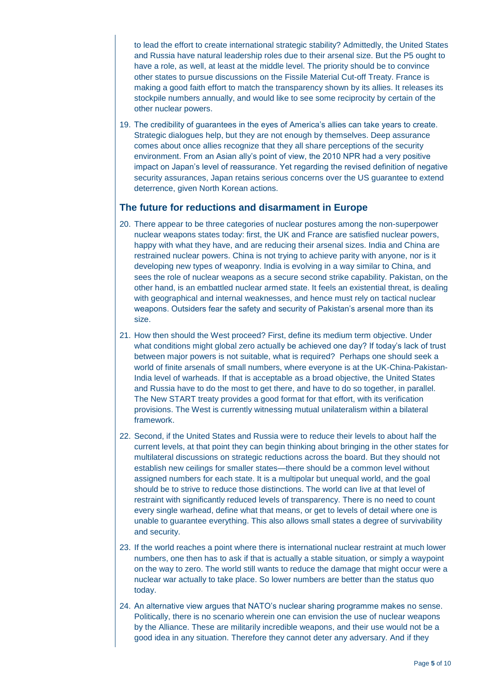to lead the effort to create international strategic stability? Admittedly, the United States and Russia have natural leadership roles due to their arsenal size. But the P5 ought to have a role, as well, at least at the middle level. The priority should be to convince other states to pursue discussions on the Fissile Material Cut-off Treaty. France is making a good faith effort to match the transparency shown by its allies. It releases its stockpile numbers annually, and would like to see some reciprocity by certain of the other nuclear powers.

19. The credibility of guarantees in the eyes of America's allies can take years to create. Strategic dialogues help, but they are not enough by themselves. Deep assurance comes about once allies recognize that they all share perceptions of the security environment. From an Asian ally's point of view, the 2010 NPR had a very positive impact on Japan's level of reassurance. Yet regarding the revised definition of negative security assurances, Japan retains serious concerns over the US guarantee to extend deterrence, given North Korean actions.

## **The future for reductions and disarmament in Europe**

- 20. There appear to be three categories of nuclear postures among the non-superpower nuclear weapons states today: first, the UK and France are satisfied nuclear powers, happy with what they have, and are reducing their arsenal sizes. India and China are restrained nuclear powers. China is not trying to achieve parity with anyone, nor is it developing new types of weaponry. India is evolving in a way similar to China, and sees the role of nuclear weapons as a secure second strike capability. Pakistan, on the other hand, is an embattled nuclear armed state. It feels an existential threat, is dealing with geographical and internal weaknesses, and hence must rely on tactical nuclear weapons. Outsiders fear the safety and security of Pakistan's arsenal more than its size.
- 21. How then should the West proceed? First, define its medium term objective. Under what conditions might global zero actually be achieved one day? If today's lack of trust between major powers is not suitable, what is required? Perhaps one should seek a world of finite arsenals of small numbers, where everyone is at the UK-China-Pakistan-India level of warheads. If that is acceptable as a broad objective, the United States and Russia have to do the most to get there, and have to do so together, in parallel. The New START treaty provides a good format for that effort, with its verification provisions. The West is currently witnessing mutual unilateralism within a bilateral framework.
- 22. Second, if the United States and Russia were to reduce their levels to about half the current levels, at that point they can begin thinking about bringing in the other states for multilateral discussions on strategic reductions across the board. But they should not establish new ceilings for smaller states—there should be a common level without assigned numbers for each state. It is a multipolar but unequal world, and the goal should be to strive to reduce those distinctions. The world can live at that level of restraint with significantly reduced levels of transparency. There is no need to count every single warhead, define what that means, or get to levels of detail where one is unable to guarantee everything. This also allows small states a degree of survivability and security.
- 23. If the world reaches a point where there is international nuclear restraint at much lower numbers, one then has to ask if that is actually a stable situation, or simply a waypoint on the way to zero. The world still wants to reduce the damage that might occur were a nuclear war actually to take place. So lower numbers are better than the status quo today.
- 24. An alternative view argues that NATO's nuclear sharing programme makes no sense. Politically, there is no scenario wherein one can envision the use of nuclear weapons by the Alliance. These are militarily incredible weapons, and their use would not be a good idea in any situation. Therefore they cannot deter any adversary. And if they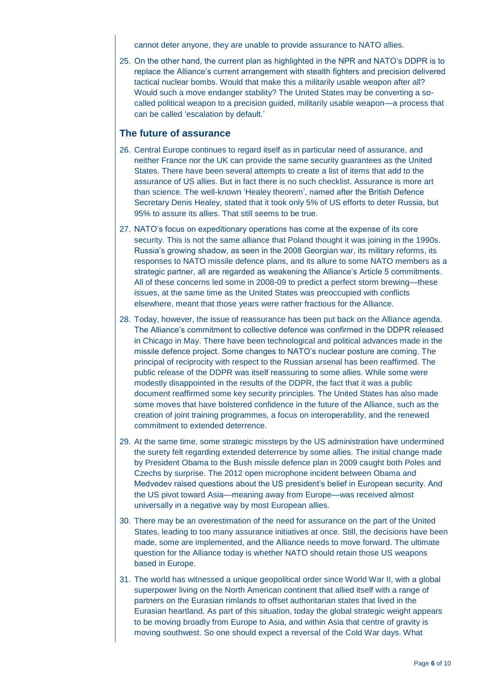cannot deter anyone, they are unable to provide assurance to NATO allies.

25. On the other hand, the current plan as highlighted in the NPR and NATO's DDPR is to replace the Alliance's current arrangement with stealth fighters and precision delivered tactical nuclear bombs. Would that make this a militarily usable weapon after all? Would such a move endanger stability? The United States may be converting a socalled political weapon to a precision guided, militarily usable weapon—a process that can be called 'escalation by default.'

## **The future of assurance**

- 26. Central Europe continues to regard itself as in particular need of assurance, and neither France nor the UK can provide the same security guarantees as the United States. There have been several attempts to create a list of items that add to the assurance of US allies. But in fact there is no such checklist. Assurance is more art than science. The well-known 'Healey theorem', named after the British Defence Secretary Denis Healey, stated that it took only 5% of US efforts to deter Russia, but 95% to assure its allies. That still seems to be true.
- 27. NATO's focus on expeditionary operations has come at the expense of its core security. This is not the same alliance that Poland thought it was joining in the 1990s. Russia's growing shadow, as seen in the 2008 Georgian war, its military reforms, its responses to NATO missile defence plans, and its allure to some NATO members as a strategic partner, all are regarded as weakening the Alliance's Article 5 commitments. All of these concerns led some in 2008-09 to predict a perfect storm brewing—these issues, at the same time as the United States was preoccupied with conflicts elsewhere, meant that those years were rather fractious for the Alliance.
- 28. Today, however, the issue of reassurance has been put back on the Alliance agenda. The Alliance's commitment to collective defence was confirmed in the DDPR released in Chicago in May. There have been technological and political advances made in the missile defence project. Some changes to NATO's nuclear posture are coming. The principal of reciprocity with respect to the Russian arsenal has been reaffirmed. The public release of the DDPR was itself reassuring to some allies. While some were modestly disappointed in the results of the DDPR, the fact that it was a public document reaffirmed some key security principles. The United States has also made some moves that have bolstered confidence in the future of the Alliance, such as the creation of joint training programmes, a focus on interoperability, and the renewed commitment to extended deterrence.
- 29. At the same time, some strategic missteps by the US administration have undermined the surety felt regarding extended deterrence by some allies. The initial change made by President Obama to the Bush missile defence plan in 2009 caught both Poles and Czechs by surprise. The 2012 open microphone incident between Obama and Medvedev raised questions about the US president's belief in European security. And the US pivot toward Asia—meaning away from Europe—was received almost universally in a negative way by most European allies.
- 30. There may be an overestimation of the need for assurance on the part of the United States, leading to too many assurance initiatives at once. Still, the decisions have been made, some are implemented, and the Alliance needs to move forward. The ultimate question for the Alliance today is whether NATO should retain those US weapons based in Europe.
- 31. The world has witnessed a unique geopolitical order since World War II, with a global superpower living on the North American continent that allied itself with a range of partners on the Eurasian rimlands to offset authoritarian states that lived in the Eurasian heartland. As part of this situation, today the global strategic weight appears to be moving broadly from Europe to Asia, and within Asia that centre of gravity is moving southwest. So one should expect a reversal of the Cold War days. What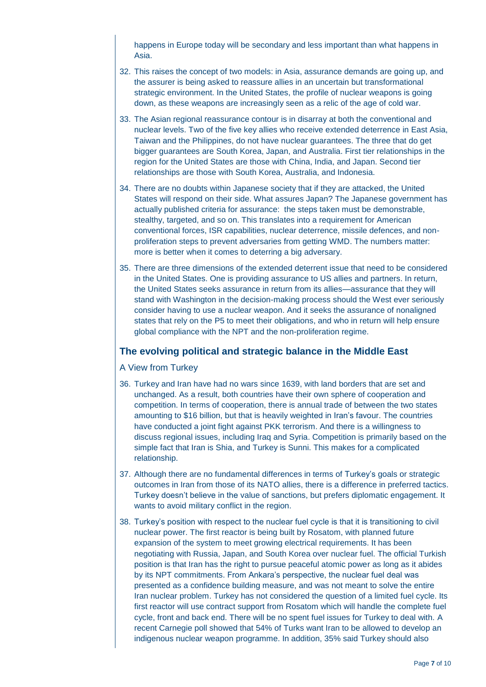happens in Europe today will be secondary and less important than what happens in Asia.

- 32. This raises the concept of two models: in Asia, assurance demands are going up, and the assurer is being asked to reassure allies in an uncertain but transformational strategic environment. In the United States, the profile of nuclear weapons is going down, as these weapons are increasingly seen as a relic of the age of cold war.
- 33. The Asian regional reassurance contour is in disarray at both the conventional and nuclear levels. Two of the five key allies who receive extended deterrence in East Asia, Taiwan and the Philippines, do not have nuclear guarantees. The three that do get bigger guarantees are South Korea, Japan, and Australia. First tier relationships in the region for the United States are those with China, India, and Japan. Second tier relationships are those with South Korea, Australia, and Indonesia.
- 34. There are no doubts within Japanese society that if they are attacked, the United States will respond on their side. What assures Japan? The Japanese government has actually published criteria for assurance: the steps taken must be demonstrable, stealthy, targeted, and so on. This translates into a requirement for American conventional forces, ISR capabilities, nuclear deterrence, missile defences, and nonproliferation steps to prevent adversaries from getting WMD. The numbers matter: more is better when it comes to deterring a big adversary.
- 35. There are three dimensions of the extended deterrent issue that need to be considered in the United States. One is providing assurance to US allies and partners. In return, the United States seeks assurance in return from its allies—assurance that they will stand with Washington in the decision-making process should the West ever seriously consider having to use a nuclear weapon. And it seeks the assurance of nonaligned states that rely on the P5 to meet their obligations, and who in return will help ensure global compliance with the NPT and the non-proliferation regime.

### **The evolving political and strategic balance in the Middle East**

### A View from Turkey

- 36. Turkey and Iran have had no wars since 1639, with land borders that are set and unchanged. As a result, both countries have their own sphere of cooperation and competition. In terms of cooperation, there is annual trade of between the two states amounting to \$16 billion, but that is heavily weighted in Iran's favour. The countries have conducted a joint fight against PKK terrorism. And there is a willingness to discuss regional issues, including Iraq and Syria. Competition is primarily based on the simple fact that Iran is Shia, and Turkey is Sunni. This makes for a complicated relationship.
- 37. Although there are no fundamental differences in terms of Turkey's goals or strategic outcomes in Iran from those of its NATO allies, there is a difference in preferred tactics. Turkey doesn't believe in the value of sanctions, but prefers diplomatic engagement. It wants to avoid military conflict in the region.
- 38. Turkey's position with respect to the nuclear fuel cycle is that it is transitioning to civil nuclear power. The first reactor is being built by Rosatom, with planned future expansion of the system to meet growing electrical requirements. It has been negotiating with Russia, Japan, and South Korea over nuclear fuel. The official Turkish position is that Iran has the right to pursue peaceful atomic power as long as it abides by its NPT commitments. From Ankara's perspective, the nuclear fuel deal was presented as a confidence building measure, and was not meant to solve the entire Iran nuclear problem. Turkey has not considered the question of a limited fuel cycle. Its first reactor will use contract support from Rosatom which will handle the complete fuel cycle, front and back end. There will be no spent fuel issues for Turkey to deal with. A recent Carnegie poll showed that 54% of Turks want Iran to be allowed to develop an indigenous nuclear weapon programme. In addition, 35% said Turkey should also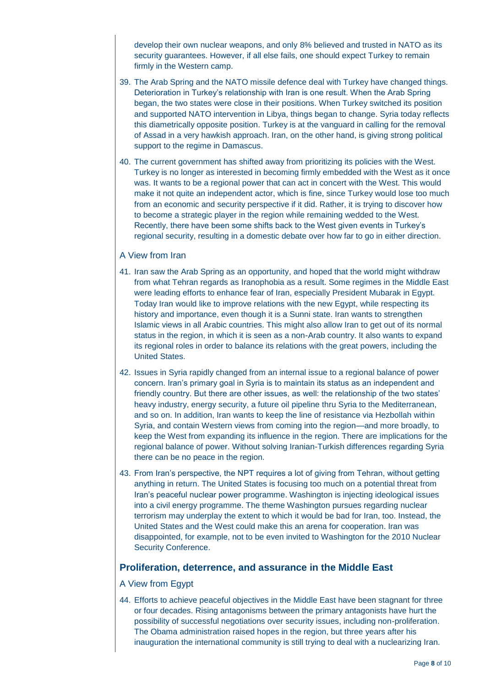develop their own nuclear weapons, and only 8% believed and trusted in NATO as its security guarantees. However, if all else fails, one should expect Turkey to remain firmly in the Western camp.

- 39. The Arab Spring and the NATO missile defence deal with Turkey have changed things. Deterioration in Turkey's relationship with Iran is one result. When the Arab Spring began, the two states were close in their positions. When Turkey switched its position and supported NATO intervention in Libya, things began to change. Syria today reflects this diametrically opposite position. Turkey is at the vanguard in calling for the removal of Assad in a very hawkish approach. Iran, on the other hand, is giving strong political support to the regime in Damascus.
- 40. The current government has shifted away from prioritizing its policies with the West. Turkey is no longer as interested in becoming firmly embedded with the West as it once was. It wants to be a regional power that can act in concert with the West. This would make it not quite an independent actor, which is fine, since Turkey would lose too much from an economic and security perspective if it did. Rather, it is trying to discover how to become a strategic player in the region while remaining wedded to the West. Recently, there have been some shifts back to the West given events in Turkey's regional security, resulting in a domestic debate over how far to go in either direction.

#### A View from Iran

- 41. Iran saw the Arab Spring as an opportunity, and hoped that the world might withdraw from what Tehran regards as Iranophobia as a result. Some regimes in the Middle East were leading efforts to enhance fear of Iran, especially President Mubarak in Egypt. Today Iran would like to improve relations with the new Egypt, while respecting its history and importance, even though it is a Sunni state. Iran wants to strengthen Islamic views in all Arabic countries. This might also allow Iran to get out of its normal status in the region, in which it is seen as a non-Arab country. It also wants to expand its regional roles in order to balance its relations with the great powers, including the United States.
- 42. Issues in Syria rapidly changed from an internal issue to a regional balance of power concern. Iran's primary goal in Syria is to maintain its status as an independent and friendly country. But there are other issues, as well: the relationship of the two states' heavy industry, energy security, a future oil pipeline thru Syria to the Mediterranean, and so on. In addition, Iran wants to keep the line of resistance via Hezbollah within Syria, and contain Western views from coming into the region—and more broadly, to keep the West from expanding its influence in the region. There are implications for the regional balance of power. Without solving Iranian-Turkish differences regarding Syria there can be no peace in the region.
- 43. From Iran's perspective, the NPT requires a lot of giving from Tehran, without getting anything in return. The United States is focusing too much on a potential threat from Iran's peaceful nuclear power programme. Washington is injecting ideological issues into a civil energy programme. The theme Washington pursues regarding nuclear terrorism may underplay the extent to which it would be bad for Iran, too. Instead, the United States and the West could make this an arena for cooperation. Iran was disappointed, for example, not to be even invited to Washington for the 2010 Nuclear Security Conference.

#### **Proliferation, deterrence, and assurance in the Middle East**

### A View from Egypt

44. Efforts to achieve peaceful objectives in the Middle East have been stagnant for three or four decades. Rising antagonisms between the primary antagonists have hurt the possibility of successful negotiations over security issues, including non-proliferation. The Obama administration raised hopes in the region, but three years after his inauguration the international community is still trying to deal with a nuclearizing Iran.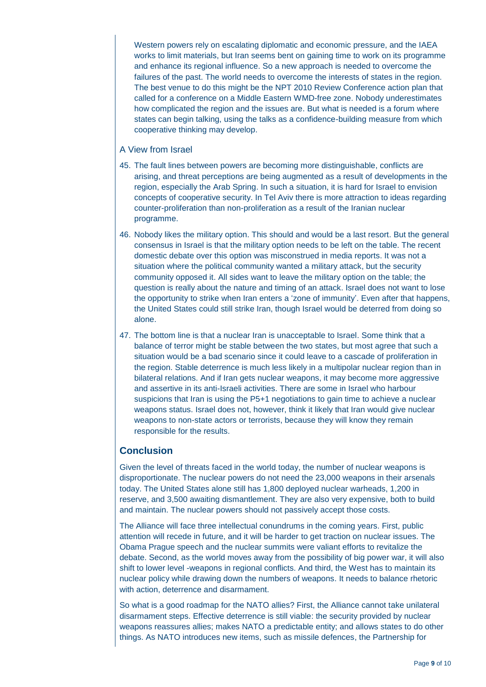Western powers rely on escalating diplomatic and economic pressure, and the IAEA works to limit materials, but Iran seems bent on gaining time to work on its programme and enhance its regional influence. So a new approach is needed to overcome the failures of the past. The world needs to overcome the interests of states in the region. The best venue to do this might be the NPT 2010 Review Conference action plan that called for a conference on a Middle Eastern WMD-free zone. Nobody underestimates how complicated the region and the issues are. But what is needed is a forum where states can begin talking, using the talks as a confidence-building measure from which cooperative thinking may develop.

#### A View from Israel

- 45. The fault lines between powers are becoming more distinguishable, conflicts are arising, and threat perceptions are being augmented as a result of developments in the region, especially the Arab Spring. In such a situation, it is hard for Israel to envision concepts of cooperative security. In Tel Aviv there is more attraction to ideas regarding counter-proliferation than non-proliferation as a result of the Iranian nuclear programme.
- 46. Nobody likes the military option. This should and would be a last resort. But the general consensus in Israel is that the military option needs to be left on the table. The recent domestic debate over this option was misconstrued in media reports. It was not a situation where the political community wanted a military attack, but the security community opposed it. All sides want to leave the military option on the table; the question is really about the nature and timing of an attack. Israel does not want to lose the opportunity to strike when Iran enters a 'zone of immunity'. Even after that happens, the United States could still strike Iran, though Israel would be deterred from doing so alone.
- 47. The bottom line is that a nuclear Iran is unacceptable to Israel. Some think that a balance of terror might be stable between the two states, but most agree that such a situation would be a bad scenario since it could leave to a cascade of proliferation in the region. Stable deterrence is much less likely in a multipolar nuclear region than in bilateral relations. And if Iran gets nuclear weapons, it may become more aggressive and assertive in its anti-Israeli activities. There are some in Israel who harbour suspicions that Iran is using the P5+1 negotiations to gain time to achieve a nuclear weapons status. Israel does not, however, think it likely that Iran would give nuclear weapons to non-state actors or terrorists, because they will know they remain responsible for the results.

## **Conclusion**

Given the level of threats faced in the world today, the number of nuclear weapons is disproportionate. The nuclear powers do not need the 23,000 weapons in their arsenals today. The United States alone still has 1,800 deployed nuclear warheads, 1,200 in reserve, and 3,500 awaiting dismantlement. They are also very expensive, both to build and maintain. The nuclear powers should not passively accept those costs.

The Alliance will face three intellectual conundrums in the coming years. First, public attention will recede in future, and it will be harder to get traction on nuclear issues. The Obama Prague speech and the nuclear summits were valiant efforts to revitalize the debate. Second, as the world moves away from the possibility of big power war, it will also shift to lower level -weapons in regional conflicts. And third, the West has to maintain its nuclear policy while drawing down the numbers of weapons. It needs to balance rhetoric with action, deterrence and disarmament.

So what is a good roadmap for the NATO allies? First, the Alliance cannot take unilateral disarmament steps. Effective deterrence is still viable: the security provided by nuclear weapons reassures allies; makes NATO a predictable entity; and allows states to do other things. As NATO introduces new items, such as missile defences, the Partnership for